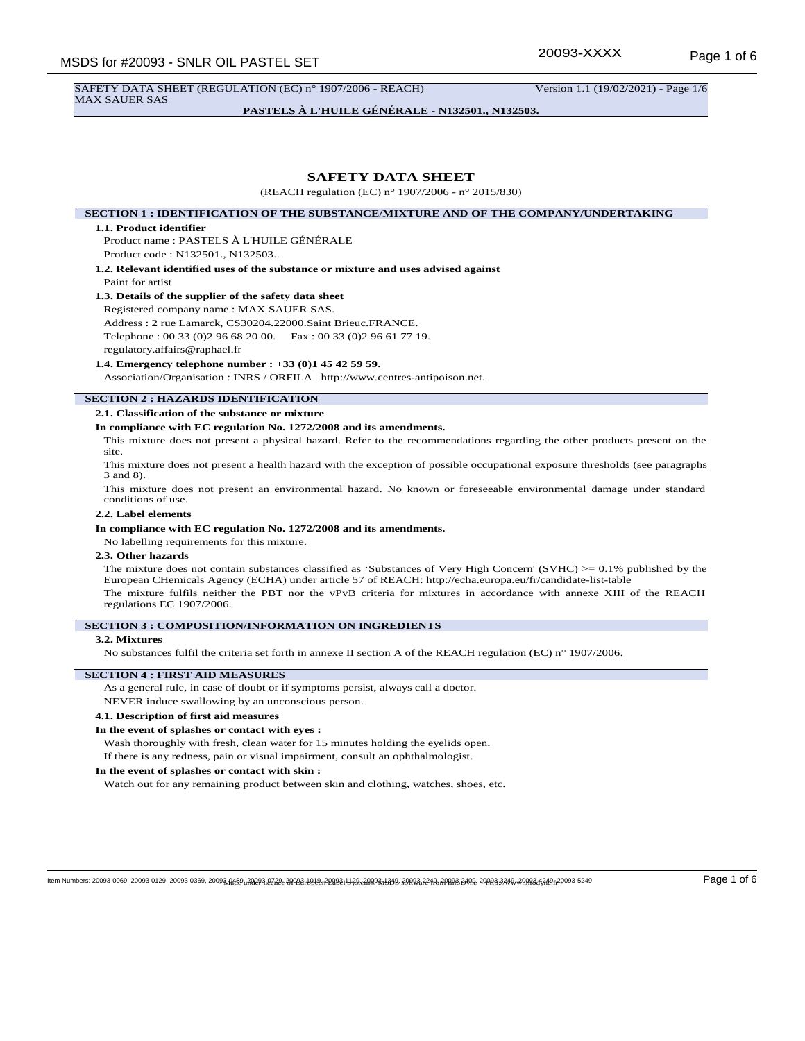SAFETY DATA SHEET (REGULATION (EC) n° 1907/2006 - REACH) Version 1.1 (19/02/2021) - Page 1/6 MAX SAUER SAS

**PASTELS À L'HUILE GÉNÉRALE - N132501., N132503.**

# **SAFETY DATA SHEET**

(REACH regulation (EC) n° 1907/2006 - n° 2015/830)

**SECTION 1 : IDENTIFICATION OF THE SUBSTANCE/MIXTURE AND OF THE COMPANY/UNDERTAKING**

#### **1.1. Product identifier**

Product name : PASTELS À L'HUILE GÉNÉRALE Product code : N132501., N132503..

**1.2. Relevant identified uses of the substance or mixture and uses advised against** Paint for artist

## **1.3. Details of the supplier of the safety data sheet**

Registered company name : MAX SAUER SAS.

Address : 2 rue Lamarck, CS30204.22000.Saint Brieuc.FRANCE. Telephone : 00 33 (0)2 96 68 20 00. Fax : 00 33 (0)2 96 61 77 19.

regulatory.affairs@raphael.fr

#### **1.4. Emergency telephone number : +33 (0)1 45 42 59 59.**

Association/Organisation : INRS / ORFILA http://www.centres-antipoison.net.

# **SECTION 2 : HAZARDS IDENTIFICATION**

**2.1. Classification of the substance or mixture**

# **In compliance with EC regulation No. 1272/2008 and its amendments.**

This mixture does not present a physical hazard. Refer to the recommendations regarding the other products present on the site.

This mixture does not present a health hazard with the exception of possible occupational exposure thresholds (see paragraphs 3 and 8).

This mixture does not present an environmental hazard. No known or foreseeable environmental damage under standard conditions of use.

# **2.2. Label elements**

#### **In compliance with EC regulation No. 1272/2008 and its amendments.**

No labelling requirements for this mixture.

## **2.3. Other hazards**

The mixture does not contain substances classified as 'Substances of Very High Concern' (SVHC)  $> = 0.1\%$  published by the European CHemicals Agency (ECHA) under article 57 of REACH: http://echa.europa.eu/fr/candidate-list-table The mixture fulfils neither the PBT nor the vPvB criteria for mixtures in accordance with annexe XIII of the REACH regulations EC 1907/2006.

#### **SECTION 3 : COMPOSITION/INFORMATION ON INGREDIENTS**

#### **3.2. Mixtures**

No substances fulfil the criteria set forth in annexe II section A of the REACH regulation (EC) n° 1907/2006.

#### **SECTION 4 : FIRST AID MEASURES**

As a general rule, in case of doubt or if symptoms persist, always call a doctor.

NEVER induce swallowing by an unconscious person.

# **4.1. Description of first aid measures**

## **In the event of splashes or contact with eyes :**

Wash thoroughly with fresh, clean water for 15 minutes holding the eyelids open.

If there is any redness, pain or visual impairment, consult an ophthalmologist.

# **In the event of splashes or contact with skin :**

Watch out for any remaining product between skin and clothing, watches, shoes, etc.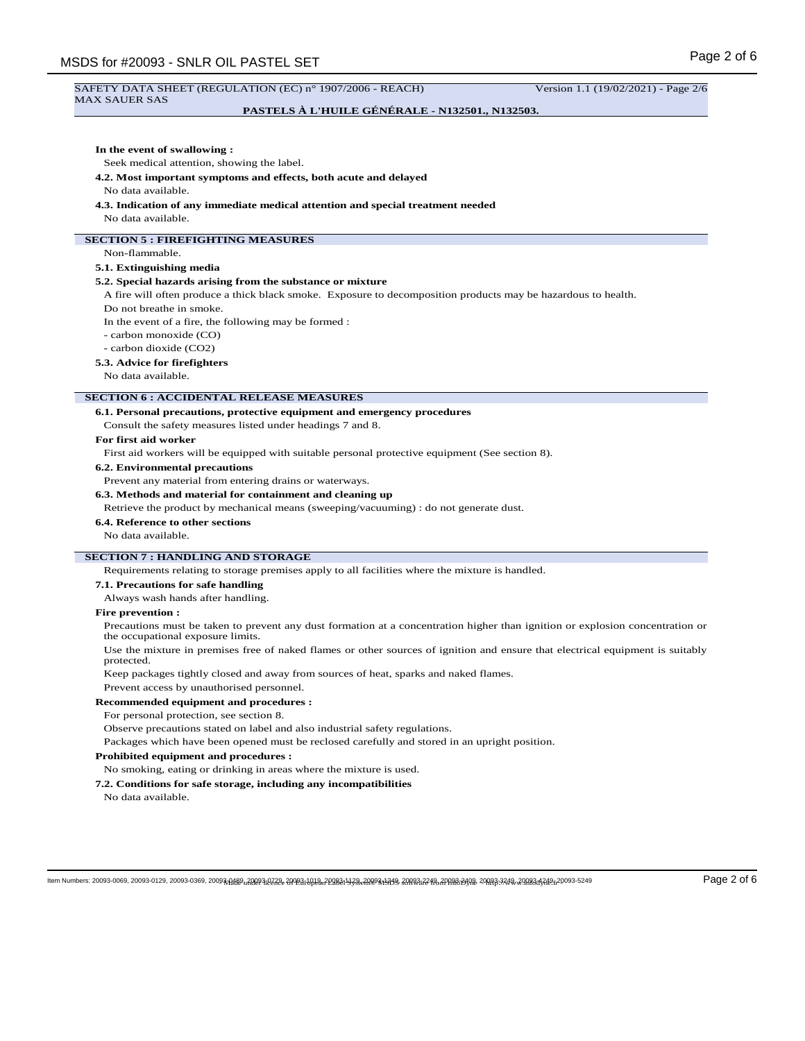# Page 2 of 6 MSDS for #20093 - SNLR OIL PASTEL SET SAFETY DATA SHEET (REGULATION (EC) n° 1907/2006 - REACH) Version 1.1 (19/02/2021) - Page 2/6 MAX SAUER SAS **PASTELS À L'HUILE GÉNÉRALE - N132501., N132503. In the event of swallowing :** Seek medical attention, showing the label. **4.2. Most important symptoms and effects, both acute and delayed** No data available. **4.3. Indication of any immediate medical attention and special treatment needed** No data available. **SECTION 5 : FIREFIGHTING MEASURES** Non-flammable. **5.1. Extinguishing media 5.2. Special hazards arising from the substance or mixture** A fire will often produce a thick black smoke. Exposure to decomposition products may be hazardous to health. Do not breathe in smoke. In the event of a fire, the following may be formed : - carbon monoxide (CO) - carbon dioxide (CO2) **5.3. Advice for firefighters** No data available. **SECTION 6 : ACCIDENTAL RELEASE MEASURES 6.1. Personal precautions, protective equipment and emergency procedures** Consult the safety measures listed under headings 7 and 8. **For first aid worker** First aid workers will be equipped with suitable personal protective equipment (See section 8). **6.2. Environmental precautions** Prevent any material from entering drains or waterways. **6.3. Methods and material for containment and cleaning up** Retrieve the product by mechanical means (sweeping/vacuuming) : do not generate dust. **6.4. Reference to other sections** No data available. **SECTION 7 : HANDLING AND STORAGE** Requirements relating to storage premises apply to all facilities where the mixture is handled. **7.1. Precautions for safe handling** Always wash hands after handling. **Fire prevention :** Precautions must be taken to prevent any dust formation at a concentration higher than ignition or explosion concentration or the occupational exposure limits. Use the mixture in premises free of naked flames or other sources of ignition and ensure that electrical equipment is suitably protected. Keep packages tightly closed and away from sources of heat, sparks and naked flames. Prevent access by unauthorised personnel. **Recommended equipment and procedures :** For personal protection, see section 8. Observe precautions stated on label and also industrial safety regulations. Packages which have been opened must be reclosed carefully and stored in an upright position. **Prohibited equipment and procedures :** No smoking, eating or drinking in areas where the mixture is used. **7.2. Conditions for safe storage, including any incompatibilities** No data available.

ltem Numbers: 20093-0069, 20093-0129, 20093-0369, 2009<del>3,AAR9, 20293;0Z3& 2/0123;1/03&2/2082;1/93&2/R978;1/319&</del> 20<del>08&3;22/R,2/P88;3/2/R,2/P&3;3/20&3;020,20083-5</del>249 Page 2 of 6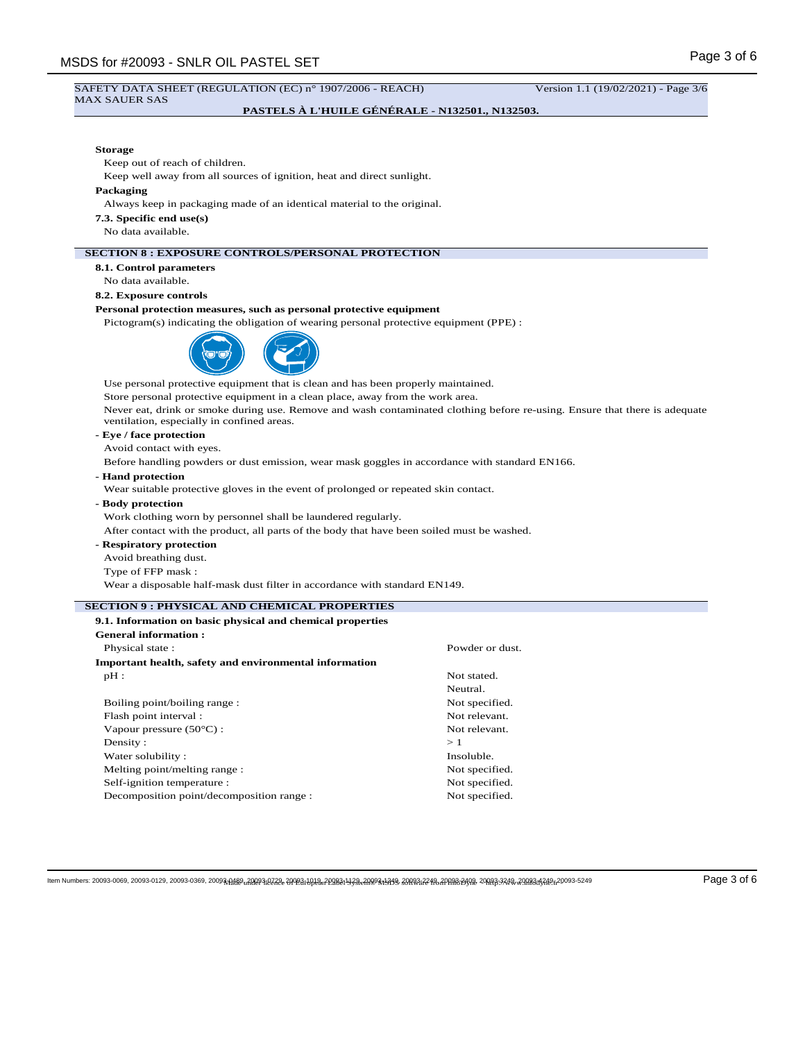## SAFETY DATA SHEET (REGULATION (EC) n° 1907/2006 - REACH) Version 1.1 (19/02/2021) - Page 3/6 MAX SAUER SAS

# **PASTELS À L'HUILE GÉNÉRALE - N132501., N132503.**

# **Storage**

Keep out of reach of children.

Keep well away from all sources of ignition, heat and direct sunlight.

#### **Packaging**

Always keep in packaging made of an identical material to the original.

**7.3. Specific end use(s)**

No data available.

# **SECTION 8 : EXPOSURE CONTROLS/PERSONAL PROTECTION**

**8.1. Control parameters**

No data available.

# **8.2. Exposure controls**

# **Personal protection measures, such as personal protective equipment**

Pictogram(s) indicating the obligation of wearing personal protective equipment (PPE) :



Use personal protective equipment that is clean and has been properly maintained.

Store personal protective equipment in a clean place, away from the work area.

Never eat, drink or smoke during use. Remove and wash contaminated clothing before re-using. Ensure that there is adequate ventilation, especially in confined areas.

# **- Eye / face protection**

Avoid contact with eyes.

Before handling powders or dust emission, wear mask goggles in accordance with standard EN166.

**- Hand protection**

Wear suitable protective gloves in the event of prolonged or repeated skin contact.

**- Body protection**

Work clothing worn by personnel shall be laundered regularly.

After contact with the product, all parts of the body that have been soiled must be washed.

- **Respiratory protection**
- Avoid breathing dust.
- Type of FFP mask :

Wear a disposable half-mask dust filter in accordance with standard EN149.

# **SECTION 9 : PHYSICAL AND CHEMICAL PROPERTIES**

| 9.1. Information on basic physical and chemical properties |                 |
|------------------------------------------------------------|-----------------|
| <b>General information:</b>                                |                 |
| Physical state:                                            | Powder or dust. |
| Important health, safety and environmental information     |                 |
| $pH$ :                                                     | Not stated.     |
|                                                            | Neutral.        |
| Boiling point/boiling range:                               | Not specified.  |
| Flash point interval :                                     | Not relevant.   |
| Vapour pressure $(50^{\circ}C)$ :                          | Not relevant.   |
| Density:                                                   | >1              |
| Water solubility:                                          | Insoluble.      |
| Melting point/melting range:                               | Not specified.  |
| Self-ignition temperature :                                | Not specified.  |
| Decomposition point/decomposition range :                  | Not specified.  |

ltem Numbers: 20093-0069, 20093-0129, 20093-0369, 2009<del>3,AAR9, 20293;0Z3& 2/0123;1/03&2/2082;1/93&2/R978;1/319&</del> 20<del>083;22/R,2/P88;320</del>& 20<del>083;328& 20083;328& 20083;328&</del> 20093-5249 Page 3 of 6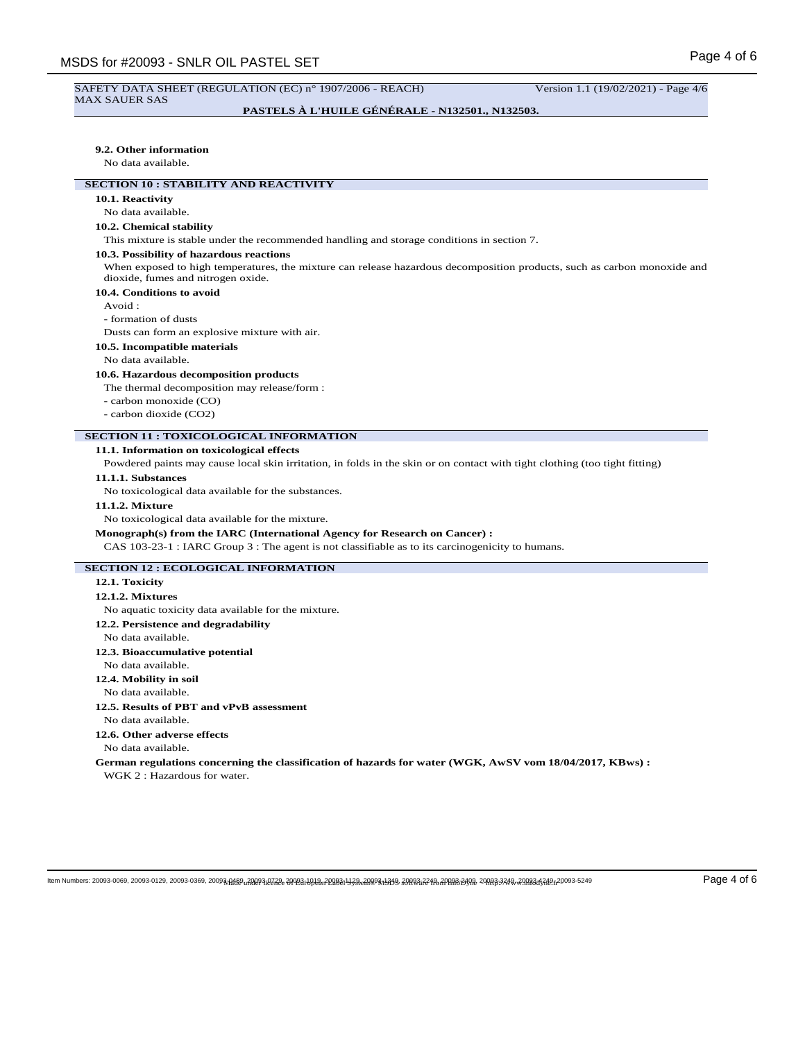#### SAFETY DATA SHEET (REGULATION (EC) n° 1907/2006 - REACH) Version 1.1 (19/02/2021) - Page 4/6 MAX SAUER SAS

# **PASTELS À L'HUILE GÉNÉRALE - N132501., N132503.**

#### **9.2. Other information**

No data available.

# **SECTION 10 : STABILITY AND REACTIVITY**

# **10.1. Reactivity**

No data available.

# **10.2. Chemical stability**

This mixture is stable under the recommended handling and storage conditions in section 7.

## **10.3. Possibility of hazardous reactions**

When exposed to high temperatures, the mixture can release hazardous decomposition products, such as carbon monoxide and dioxide, fumes and nitrogen oxide.

# **10.4. Conditions to avoid**

Avoid :

- formation of dusts

Dusts can form an explosive mixture with air.

**10.5. Incompatible materials**

#### No data available.

## **10.6. Hazardous decomposition products**

The thermal decomposition may release/form :

- carbon monoxide (CO)
- carbon dioxide (CO2)

#### **SECTION 11 : TOXICOLOGICAL INFORMATION**

## **11.1. Information on toxicological effects**

Powdered paints may cause local skin irritation, in folds in the skin or on contact with tight clothing (too tight fitting)

## **11.1.1. Substances**

No toxicological data available for the substances.

## **11.1.2. Mixture**

No toxicological data available for the mixture.

## **Monograph(s) from the IARC (International Agency for Research on Cancer) :**

CAS 103-23-1 : IARC Group 3 : The agent is not classifiable as to its carcinogenicity to humans.

## **SECTION 12 : ECOLOGICAL INFORMATION**

## **12.1. Toxicity**

#### **12.1.2. Mixtures**

No aquatic toxicity data available for the mixture.

**12.2. Persistence and degradability**

#### No data available.

## **12.3. Bioaccumulative potential**

No data available.

# **12.4. Mobility in soil**

No data available.

**12.5. Results of PBT and vPvB assessment**

No data available.

**12.6. Other adverse effects**

No data available.

**German regulations concerning the classification of hazards for water (WGK, AwSV vom 18/04/2017, KBws) :** WGK 2 : Hazardous for water.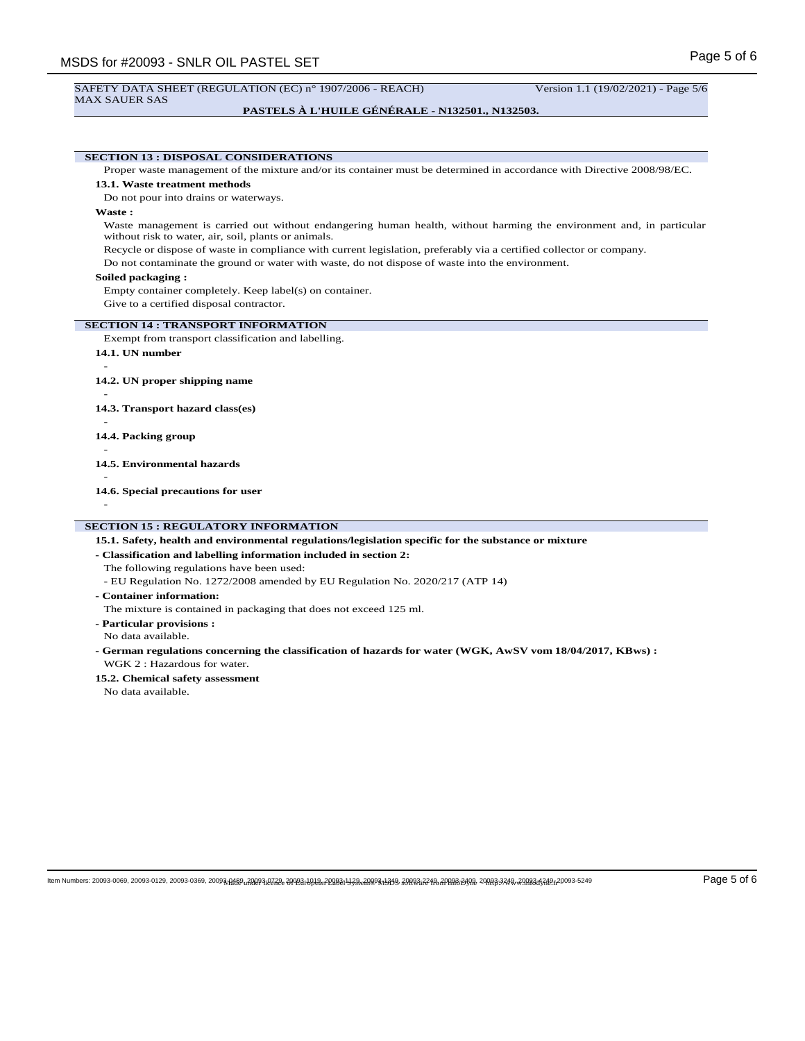#### SAFETY DATA SHEET (REGULATION (EC) n° 1907/2006 - REACH) Version 1.1 (19/02/2021) - Page 5/6 MAX SAUER SAS

# **PASTELS À L'HUILE GÉNÉRALE - N132501., N132503.**

**SECTION 13 : DISPOSAL CONSIDERATIONS** Proper waste management of the mixture and/or its container must be determined in accordance with Directive 2008/98/EC. **13.1. Waste treatment methods** Do not pour into drains or waterways. **Waste :** Waste management is carried out without endangering human health, without harming the environment and, in particular without risk to water, air, soil, plants or animals. Recycle or dispose of waste in compliance with current legislation, preferably via a certified collector or company. Do not contaminate the ground or water with waste, do not dispose of waste into the environment. **Soiled packaging :** Empty container completely. Keep label(s) on container. Give to a certified disposal contractor. **SECTION 14 : TRANSPORT INFORMATION** Exempt from transport classification and labelling. **14.1. UN number** - **14.2. UN proper shipping name** - **14.3. Transport hazard class(es)** - **14.4. Packing group** - **14.5. Environmental hazards** -

**14.6. Special precautions for user**

-

# **SECTION 15 : REGULATORY INFORMATION**

**15.1. Safety, health and environmental regulations/legislation specific for the substance or mixture**

**- Classification and labelling information included in section 2:**

The following regulations have been used:

- EU Regulation No. 1272/2008 amended by EU Regulation No. 2020/217 (ATP 14)
- **Container information:**

The mixture is contained in packaging that does not exceed 125 ml.

**- Particular provisions :** No data available.

- **German regulations concerning the classification of hazards for water (WGK, AwSV vom 18/04/2017, KBws) :** WGK 2 · Hazardous for water.
- **15.2. Chemical safety assessment**

No data available.